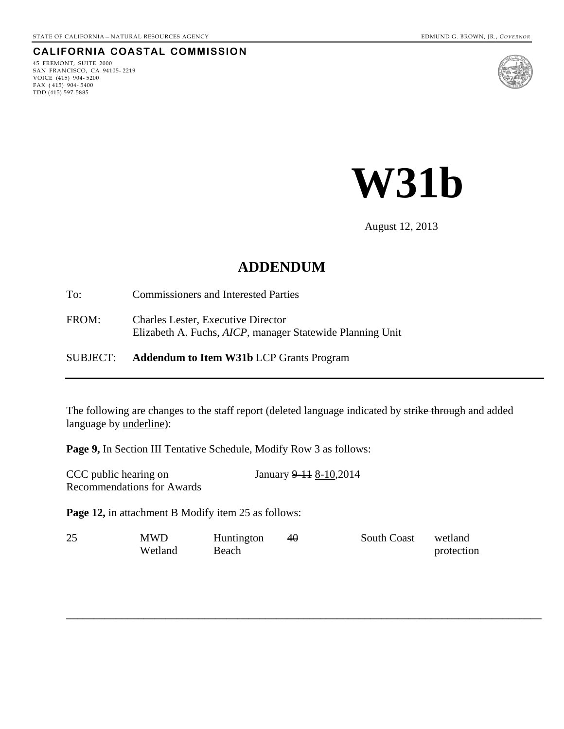#### **CALIFORNIA COASTAL COMMISSION**

45 FREMONT, SUITE 2000 SAN FRANCISCO, CA 94105- 2219 VOICE (415) 904- 5200 FAX ( 415) 904- 5400 TDD (415) 597-5885





August 12, 2013

# **ADDENDUM**

To: Commissioners and Interested Parties

FROM: Charles Lester, Executive Director Elizabeth A. Fuchs, *AICP*, manager Statewide Planning Unit

#### SUBJECT: **Addendum to Item W31b** LCP Grants Program

The following are changes to the staff report (deleted language indicated by strike through and added language by <u>underline</u>):

**Page 9,** In Section III Tentative Schedule, Modify Row 3 as follows:

| CCC public hearing on             | January 9–11 8–10,2014 |
|-----------------------------------|------------------------|
| <b>Recommendations for Awards</b> |                        |

**Page 12, in attachment B Modify item 25 as follows:** 

| 25 | MWD     | Huntington | $4\theta$ | <b>South Coast</b> | wetland    |
|----|---------|------------|-----------|--------------------|------------|
|    | Wetland | Beach      |           |                    | protection |

**\_\_\_\_\_\_\_\_\_\_\_\_\_\_\_\_\_\_\_\_\_\_\_\_\_\_\_\_\_\_\_\_\_\_\_\_\_\_\_\_\_\_\_\_\_\_\_\_\_\_\_\_\_\_\_\_\_\_\_\_\_\_\_\_\_\_\_\_\_\_\_\_\_\_\_\_\_\_\_\_\_\_\_\_\_\_**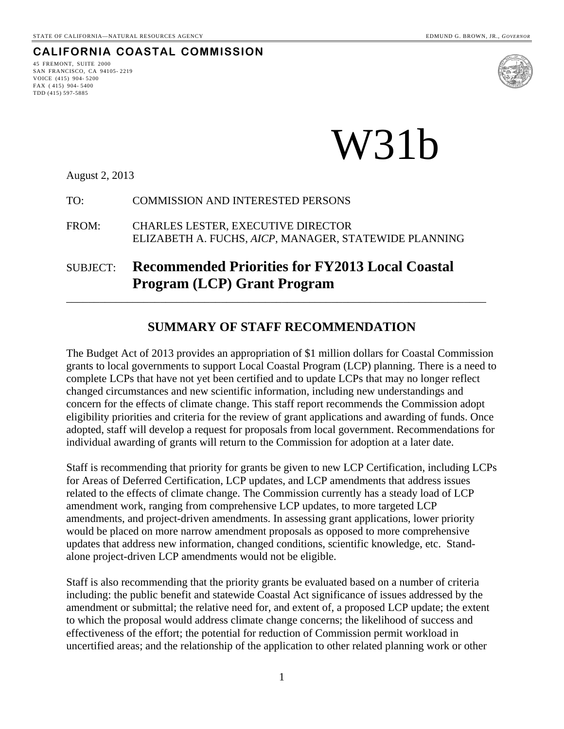# **CALIFORNIA COASTAL COMMISSION**

<span id="page-1-0"></span>45 FREMONT, SUITE 2000 SAN FRANCISCO, CA 94105- 2219 VOICE (415) 904- 5200 FAX ( 415) 904- 5400 TDD (415) 597-5885



# W31b

August 2, 2013

#### TO: COMMISSION AND INTERESTED PERSONS

FROM: CHARLES LESTER, EXECUTIVE DIRECTOR ELIZABETH A. FUCHS, *AICP*, MANAGER, STATEWIDE PLANNING

# SUBJECT: **Recommended Priorities for FY2013 Local Coastal Program (LCP) Grant Program**

#### **SUMMARY OF STAFF RECOMMENDATION**

\_\_\_\_\_\_\_\_\_\_\_\_\_\_\_\_\_\_\_\_\_\_\_\_\_\_\_\_\_\_\_\_\_\_\_\_\_\_\_\_\_\_\_\_\_\_\_\_\_\_\_\_\_\_\_\_\_\_\_\_\_\_\_\_\_\_\_\_\_\_\_\_\_\_\_\_

The Budget Act of 2013 provides an appropriation of \$1 million dollars for Coastal Commission grants to local governments to support Local Coastal Program (LCP) planning. There is a need to complete LCPs that have not yet been certified and to update LCPs that may no longer reflect changed circumstances and new scientific information, including new understandings and concern for the effects of climate change. This staff report recommends the Commission adopt eligibility priorities and criteria for the review of grant applications and awarding of funds. Once adopted, staff will develop a request for proposals from local government. Recommendations for individual awarding of grants will return to the Commission for adoption at a later date.

Staff is recommending that priority for grants be given to new LCP Certification, including LCPs for Areas of Deferred Certification, LCP updates, and LCP amendments that address issues related to the effects of climate change. The Commission currently has a steady load of LCP amendment work, ranging from comprehensive LCP updates, to more targeted LCP amendments, and project-driven amendments. In assessing grant applications, lower priority would be placed on more narrow amendment proposals as opposed to more comprehensive updates that address new information, changed conditions, scientific knowledge, etc. Standalone project-driven LCP amendments would not be eligible.

Staff is also recommending that the priority grants be evaluated based on a number of criteria including: the public benefit and statewide Coastal Act significance of issues addressed by the amendment or submittal; the relative need for, and extent of, a proposed LCP update; the extent to which the proposal would address climate change concerns; the likelihood of success and effectiveness of the effort; the potential for reduction of Commission permit workload in uncertified areas; and the relationship of the application to other related planning work or other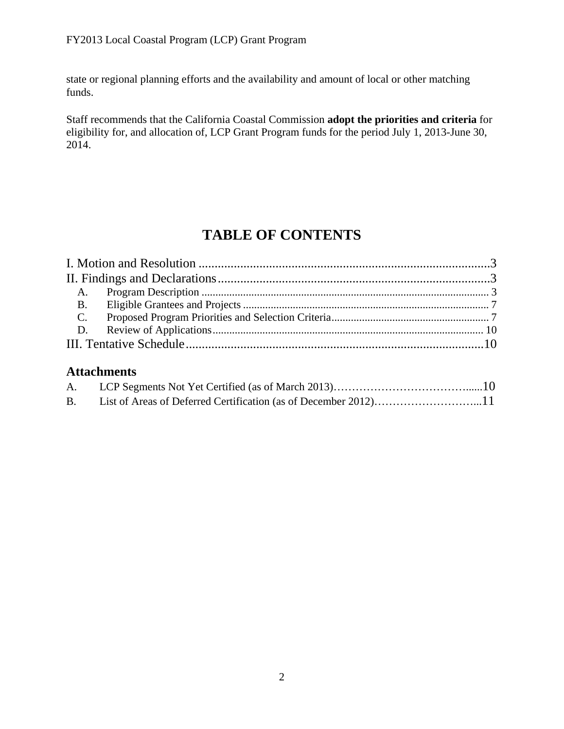state or regional planning efforts and the availability and amount of local or other matching funds.

Staff recommends that the California Coastal Commission **adopt the priorities and criteria** for eligibility for, and allocation of, LCP Grant Program funds for the period July 1, 2013-June 30, 2014.

# **TABLE OF CONTENTS**

# **Attachments**

| A.        |  |
|-----------|--|
| <b>B.</b> |  |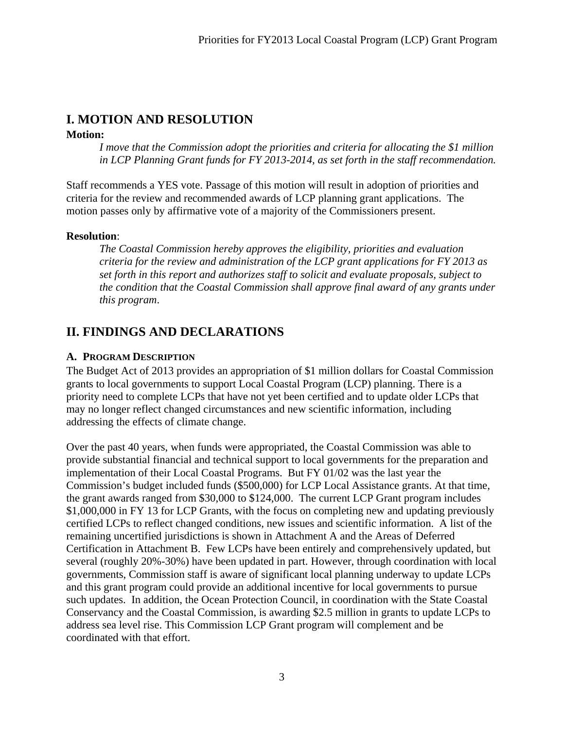# <span id="page-3-0"></span>**I. MOTION AND RESOLUTION**

#### **Motion:**

*I move that the Commission adopt the priorities and criteria for allocating the \$1 million in LCP Planning Grant funds for FY 2013-2014, as set forth in the staff recommendation.* 

Staff recommends a YES vote. Passage of this motion will result in adoption of priorities and criteria for the review and recommended awards of LCP planning grant applications. The motion passes only by affirmative vote of a majority of the Commissioners present.

#### **Resolution**:

*The Coastal Commission hereby approves the eligibility, priorities and evaluation criteria for the review and administration of the LCP grant applications for FY 2013 as set forth in this report and authorizes staff to solicit and evaluate proposals, subject to the condition that the Coastal Commission shall approve final award of any grants under this program*.

# <span id="page-3-1"></span>**II. FINDINGS AND DECLARATIONS**

#### <span id="page-3-2"></span>**A. PROGRAM DESCRIPTION**

The Budget Act of 2013 provides an appropriation of \$1 million dollars for Coastal Commission grants to local governments to support Local Coastal Program (LCP) planning. There is a priority need to complete LCPs that have not yet been certified and to update older LCPs that may no longer reflect changed circumstances and new scientific information, including addressing the effects of climate change.

Over the past 40 years, when funds were appropriated, the Coastal Commission was able to provide substantial financial and technical support to local governments for the preparation and implementation of their Local Coastal Programs. But FY 01/02 was the last year the Commission's budget included funds (\$500,000) for LCP Local Assistance grants. At that time, the grant awards ranged from \$30,000 to \$124,000. The current LCP Grant program includes \$1,000,000 in FY 13 for LCP Grants, with the focus on completing new and updating previously certified LCPs to reflect changed conditions, new issues and scientific information. A list of the remaining uncertified jurisdictions is shown in Attachment A and the Areas of Deferred Certification in Attachment B. Few LCPs have been entirely and comprehensively updated, but several (roughly 20%-30%) have been updated in part. However, through coordination with local governments, Commission staff is aware of significant local planning underway to update LCPs and this grant program could provide an additional incentive for local governments to pursue such updates. In addition, the Ocean Protection Council, in coordination with the State Coastal Conservancy and the Coastal Commission, is awarding \$2.5 million in grants to update LCPs to address sea level rise. This Commission LCP Grant program will complement and be coordinated with that effort.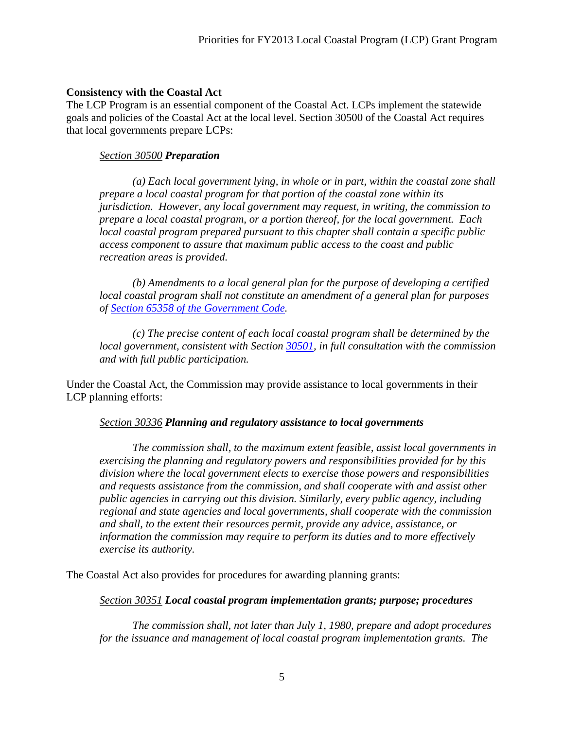#### **Consistency with the Coastal Act**

The LCP Program is an essential component of the Coastal Act. LCPs implement the statewide goals and policies of the Coastal Act at the local level. Section 30500 of the Coastal Act requires that local governments prepare LCPs:

#### *Section 30500 Preparation*

 *(a) Each local government lying, in whole or in part, within the coastal zone shall prepare a local coastal program for that portion of the coastal zone within its jurisdiction. However, any local government may request, in writing, the commission to prepare a local coastal program, or a portion thereof, for the local government. Each local coastal program prepared pursuant to this chapter shall contain a specific public access component to assure that maximum public access to the coast and public recreation areas is provided.* 

 *(b) Amendments to a local general plan for the purpose of developing a certified local coastal program shall not constitute an amendment of a general plan for purposes of [Section 65358 of the Government Code](http://www.leginfo.ca.gov/calaw.html).* 

 *(c) The precise content of each local coastal program shall be determined by the local government, consistent with Section [30501,](#page-1-0) in full consultation with the commission and with full public participation.*

Under the Coastal Act, the Commission may provide assistance to local governments in their LCP planning efforts:

#### *Section 30336 Planning and regulatory assistance to local governments*

 *The commission shall, to the maximum extent feasible, assist local governments in exercising the planning and regulatory powers and responsibilities provided for by this division where the local government elects to exercise those powers and responsibilities and requests assistance from the commission, and shall cooperate with and assist other public agencies in carrying out this division. Similarly, every public agency, including regional and state agencies and local governments, shall cooperate with the commission and shall, to the extent their resources permit, provide any advice, assistance, or information the commission may require to perform its duties and to more effectively exercise its authority.* 

The Coastal Act also provides for procedures for awarding planning grants:

#### *Section 30351 Local coastal program implementation grants; purpose; procedures*

 *The commission shall, not later than July 1, 1980, prepare and adopt procedures for the issuance and management of local coastal program implementation grants. The*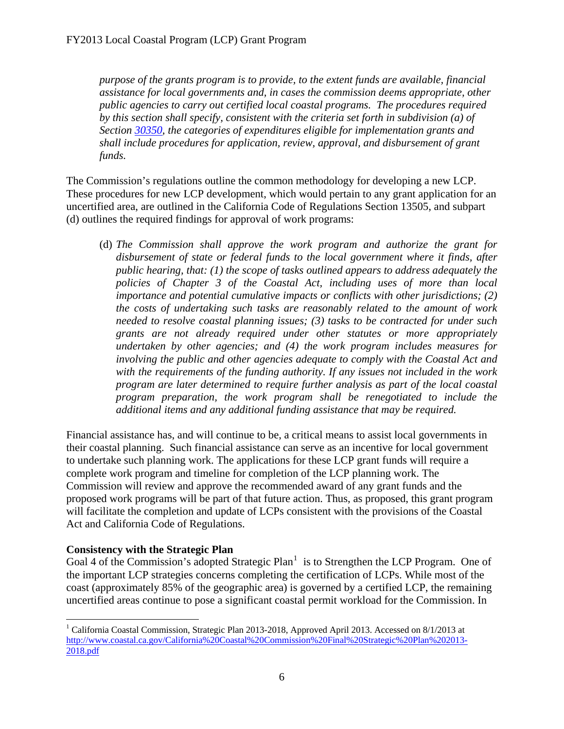*purpose of the grants program is to provide, to the extent funds are available, financial assistance for local governments and, in cases the commission deems appropriate, other public agencies to carry out certified local coastal programs. The procedures required by this section shall specify, consistent with the criteria set forth in subdivision (a) of Section [30350](#page-1-0), the categories of expenditures eligible for implementation grants and shall include procedures for application, review, approval, and disbursement of grant funds.* 

The Commission's regulations outline the common methodology for developing a new LCP. These procedures for new LCP development, which would pertain to any grant application for an uncertified area, are outlined in the California Code of Regulations Section 13505, and subpart (d) outlines the required findings for approval of work programs:

(d) *The Commission shall approve the work program and authorize the grant for disbursement of state or federal funds to the local government where it finds, after public hearing, that: (1) the scope of tasks outlined appears to address adequately the policies of Chapter 3 of the Coastal Act, including uses of more than local importance and potential cumulative impacts or conflicts with other jurisdictions; (2) the costs of undertaking such tasks are reasonably related to the amount of work needed to resolve coastal planning issues; (3) tasks to be contracted for under such grants are not already required under other statutes or more appropriately undertaken by other agencies; and (4) the work program includes measures for involving the public and other agencies adequate to comply with the Coastal Act and with the requirements of the funding authority. If any issues not included in the work program are later determined to require further analysis as part of the local coastal program preparation, the work program shall be renegotiated to include the additional items and any additional funding assistance that may be required.* 

Financial assistance has, and will continue to be, a critical means to assist local governments in their coastal planning. Such financial assistance can serve as an incentive for local government to undertake such planning work. The applications for these LCP grant funds will require a complete work program and timeline for completion of the LCP planning work. The Commission will review and approve the recommended award of any grant funds and the proposed work programs will be part of that future action. Thus, as proposed, this grant program will facilitate the completion and update of LCPs consistent with the provisions of the Coastal Act and California Code of Regulations.

#### **Consistency with the Strategic Plan**

 $\overline{a}$ 

Goal 4 of the Commission's adopted Strategic Plan<sup>[1](#page-5-0)</sup> is to Strengthen the LCP Program. One of the important LCP strategies concerns completing the certification of LCPs. While most of the coast (approximately 85% of the geographic area) is governed by a certified LCP, the remaining uncertified areas continue to pose a significant coastal permit workload for the Commission. In

<span id="page-5-0"></span><sup>&</sup>lt;sup>1</sup> California Coastal Commission, Strategic Plan 2013-2018, Approved April 2013. Accessed on 8/1/2013 at [http://www.coastal.ca.gov/California%20Coastal%20Commission%20Final%20Strategic%20Plan%202013-](http://www.coastal.ca.gov/California%20Coastal%20Commission%20Final%20Strategic%20Plan%202013-2018.pdf) [2018.pdf](http://www.coastal.ca.gov/California%20Coastal%20Commission%20Final%20Strategic%20Plan%202013-2018.pdf)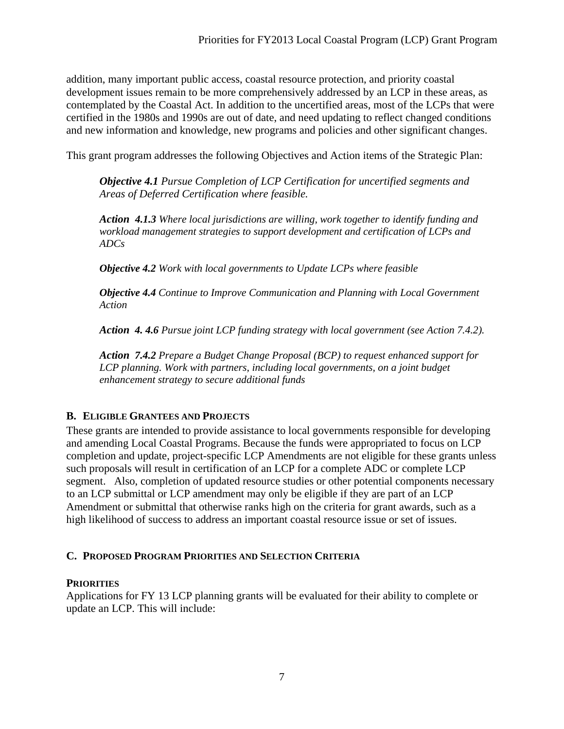addition, many important public access, coastal resource protection, and priority coastal development issues remain to be more comprehensively addressed by an LCP in these areas, as contemplated by the Coastal Act. In addition to the uncertified areas, most of the LCPs that were certified in the 1980s and 1990s are out of date, and need updating to reflect changed conditions and new information and knowledge, new programs and policies and other significant changes.

This grant program addresses the following Objectives and Action items of the Strategic Plan:

*Objective 4.1 Pursue Completion of LCP Certification for uncertified segments and Areas of Deferred Certification where feasible.*

*Action 4.1.3 Where local jurisdictions are willing, work together to identify funding and workload management strategies to support development and certification of LCPs and ADCs* 

*Objective 4.2 Work with local governments to Update LCPs where feasible* 

*Objective 4.4 Continue to Improve Communication and Planning with Local Government Action* 

*Action 4. 4.6 Pursue joint LCP funding strategy with local government (see Action 7.4.2).* 

*Action 7.4.2 Prepare a Budget Change Proposal (BCP) to request enhanced support for LCP planning. Work with partners, including local governments, on a joint budget enhancement strategy to secure additional funds* 

#### <span id="page-6-0"></span>**B. ELIGIBLE GRANTEES AND PROJECTS**

These grants are intended to provide assistance to local governments responsible for developing and amending Local Coastal Programs. Because the funds were appropriated to focus on LCP completion and update, project-specific LCP Amendments are not eligible for these grants unless such proposals will result in certification of an LCP for a complete ADC or complete LCP segment. Also, completion of updated resource studies or other potential components necessary to an LCP submittal or LCP amendment may only be eligible if they are part of an LCP Amendment or submittal that otherwise ranks high on the criteria for grant awards, such as a high likelihood of success to address an important coastal resource issue or set of issues.

#### <span id="page-6-1"></span>**C. PROPOSED PROGRAM PRIORITIES AND SELECTION CRITERIA**

#### **PRIORITIES**

Applications for FY 13 LCP planning grants will be evaluated for their ability to complete or update an LCP. This will include: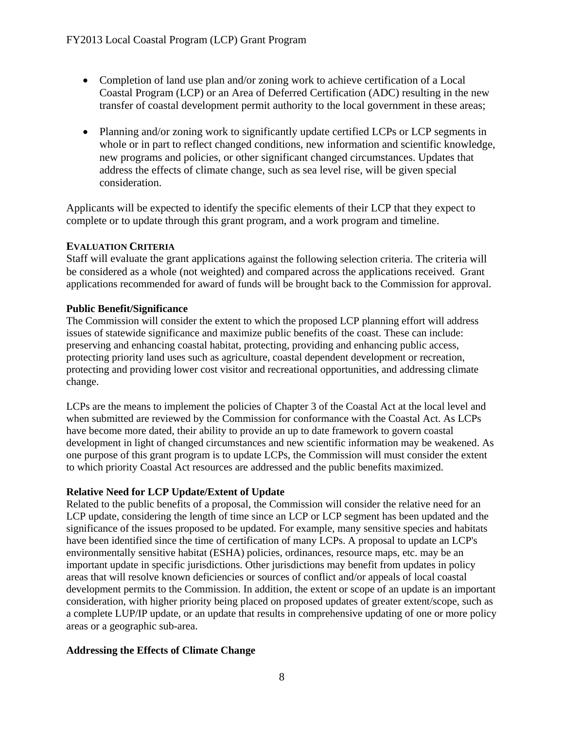- Completion of land use plan and/or zoning work to achieve certification of a Local Coastal Program (LCP) or an Area of Deferred Certification (ADC) resulting in the new transfer of coastal development permit authority to the local government in these areas;
- Planning and/or zoning work to significantly update certified LCPs or LCP segments in whole or in part to reflect changed conditions, new information and scientific knowledge, new programs and policies, or other significant changed circumstances. Updates that address the effects of climate change, such as sea level rise, will be given special consideration.

Applicants will be expected to identify the specific elements of their LCP that they expect to complete or to update through this grant program, and a work program and timeline.

#### **EVALUATION CRITERIA**

Staff will evaluate the grant applications against the following selection criteria. The criteria will be considered as a whole (not weighted) and compared across the applications received. Grant applications recommended for award of funds will be brought back to the Commission for approval.

#### **Public Benefit/Significance**

The Commission will consider the extent to which the proposed LCP planning effort will address issues of statewide significance and maximize public benefits of the coast. These can include: preserving and enhancing coastal habitat, protecting, providing and enhancing public access, protecting priority land uses such as agriculture, coastal dependent development or recreation, protecting and providing lower cost visitor and recreational opportunities, and addressing climate change.

LCPs are the means to implement the policies of Chapter 3 of the Coastal Act at the local level and when submitted are reviewed by the Commission for conformance with the Coastal Act. As LCPs have become more dated, their ability to provide an up to date framework to govern coastal development in light of changed circumstances and new scientific information may be weakened. As one purpose of this grant program is to update LCPs, the Commission will must consider the extent to which priority Coastal Act resources are addressed and the public benefits maximized.

#### **Relative Need for LCP Update/Extent of Update**

Related to the public benefits of a proposal, the Commission will consider the relative need for an LCP update, considering the length of time since an LCP or LCP segment has been updated and the significance of the issues proposed to be updated. For example, many sensitive species and habitats have been identified since the time of certification of many LCPs. A proposal to update an LCP's environmentally sensitive habitat (ESHA) policies, ordinances, resource maps, etc. may be an important update in specific jurisdictions. Other jurisdictions may benefit from updates in policy areas that will resolve known deficiencies or sources of conflict and/or appeals of local coastal development permits to the Commission. In addition, the extent or scope of an update is an important consideration, with higher priority being placed on proposed updates of greater extent/scope, such as a complete LUP/IP update, or an update that results in comprehensive updating of one or more policy areas or a geographic sub-area.

#### **Addressing the Effects of Climate Change**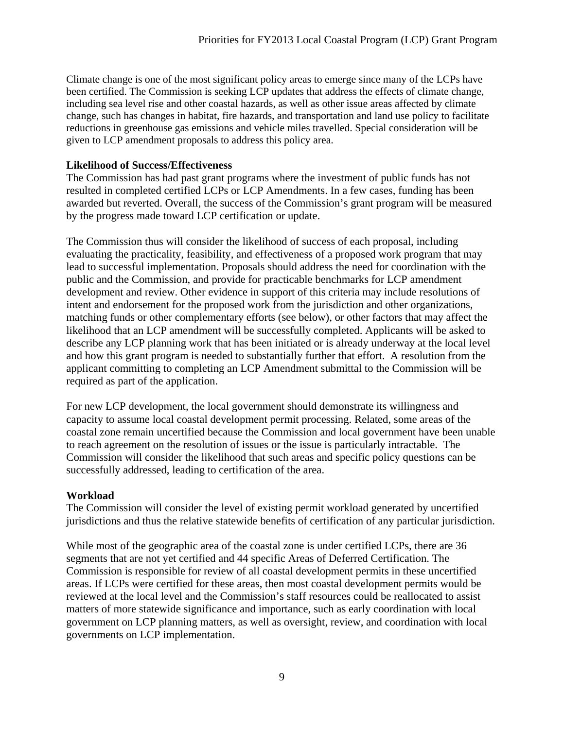Climate change is one of the most significant policy areas to emerge since many of the LCPs have been certified. The Commission is seeking LCP updates that address the effects of climate change, including sea level rise and other coastal hazards, as well as other issue areas affected by climate change, such has changes in habitat, fire hazards, and transportation and land use policy to facilitate reductions in greenhouse gas emissions and vehicle miles travelled. Special consideration will be given to LCP amendment proposals to address this policy area.

#### **Likelihood of Success/Effectiveness**

The Commission has had past grant programs where the investment of public funds has not resulted in completed certified LCPs or LCP Amendments. In a few cases, funding has been awarded but reverted. Overall, the success of the Commission's grant program will be measured by the progress made toward LCP certification or update.

The Commission thus will consider the likelihood of success of each proposal, including evaluating the practicality, feasibility, and effectiveness of a proposed work program that may lead to successful implementation. Proposals should address the need for coordination with the public and the Commission, and provide for practicable benchmarks for LCP amendment development and review. Other evidence in support of this criteria may include resolutions of intent and endorsement for the proposed work from the jurisdiction and other organizations, matching funds or other complementary efforts (see below), or other factors that may affect the likelihood that an LCP amendment will be successfully completed. Applicants will be asked to describe any LCP planning work that has been initiated or is already underway at the local level and how this grant program is needed to substantially further that effort. A resolution from the applicant committing to completing an LCP Amendment submittal to the Commission will be required as part of the application.

For new LCP development, the local government should demonstrate its willingness and capacity to assume local coastal development permit processing. Related, some areas of the coastal zone remain uncertified because the Commission and local government have been unable to reach agreement on the resolution of issues or the issue is particularly intractable. The Commission will consider the likelihood that such areas and specific policy questions can be successfully addressed, leading to certification of the area.

#### **Workload**

The Commission will consider the level of existing permit workload generated by uncertified jurisdictions and thus the relative statewide benefits of certification of any particular jurisdiction.

While most of the geographic area of the coastal zone is under certified LCPs, there are 36 segments that are not yet certified and 44 specific Areas of Deferred Certification. The Commission is responsible for review of all coastal development permits in these uncertified areas. If LCPs were certified for these areas, then most coastal development permits would be reviewed at the local level and the Commission's staff resources could be reallocated to assist matters of more statewide significance and importance, such as early coordination with local government on LCP planning matters, as well as oversight, review, and coordination with local governments on LCP implementation.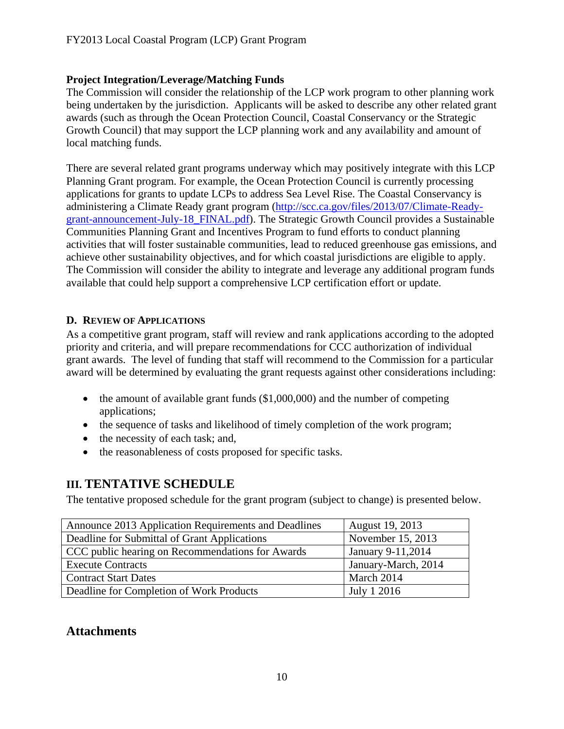#### **Project Integration/Leverage/Matching Funds**

The Commission will consider the relationship of the LCP work program to other planning work being undertaken by the jurisdiction. Applicants will be asked to describe any other related grant awards (such as through the Ocean Protection Council, Coastal Conservancy or the Strategic Growth Council) that may support the LCP planning work and any availability and amount of local matching funds.

There are several related grant programs underway which may positively integrate with this LCP Planning Grant program. For example, the Ocean Protection Council is currently processing applications for grants to update LCPs to address Sea Level Rise. The Coastal Conservancy is administering a Climate Ready grant program [\(http://scc.ca.gov/files/2013/07/Climate-Ready](http://scc.ca.gov/files/2013/07/Climate-Ready-grant-announcement-July-18_FINAL.pdf)[grant-announcement-July-18\\_FINAL.pdf\)](http://scc.ca.gov/files/2013/07/Climate-Ready-grant-announcement-July-18_FINAL.pdf). The Strategic Growth Council provides a Sustainable Communities Planning Grant and Incentives Program to fund efforts to conduct planning activities that will foster sustainable communities, lead to reduced greenhouse gas emissions, and achieve other sustainability objectives, and for which coastal jurisdictions are eligible to apply. The Commission will consider the ability to integrate and leverage any additional program funds available that could help support a comprehensive LCP certification effort or update.

#### <span id="page-9-0"></span>**D. REVIEW OF APPLICATIONS**

As a competitive grant program, staff will review and rank applications according to the adopted priority and criteria, and will prepare recommendations for CCC authorization of individual grant awards. The level of funding that staff will recommend to the Commission for a particular award will be determined by evaluating the grant requests against other considerations including:

- $\bullet$  the amount of available grant funds (\$1,000,000) and the number of competing applications;
- the sequence of tasks and likelihood of timely completion of the work program;
- the necessity of each task; and,
- the reasonableness of costs proposed for specific tasks.

# <span id="page-9-1"></span>**III. TENTATIVE SCHEDULE**

The tentative proposed schedule for the grant program (subject to change) is presented below.

| Announce 2013 Application Requirements and Deadlines | <b>August 19, 2013</b> |
|------------------------------------------------------|------------------------|
| Deadline for Submittal of Grant Applications         | November 15, 2013      |
| CCC public hearing on Recommendations for Awards     | January 9-11,2014      |
| <b>Execute Contracts</b>                             | January-March, 2014    |
| <b>Contract Start Dates</b>                          | March 2014             |
| Deadline for Completion of Work Products             | July 1 2016            |

# **Attachments**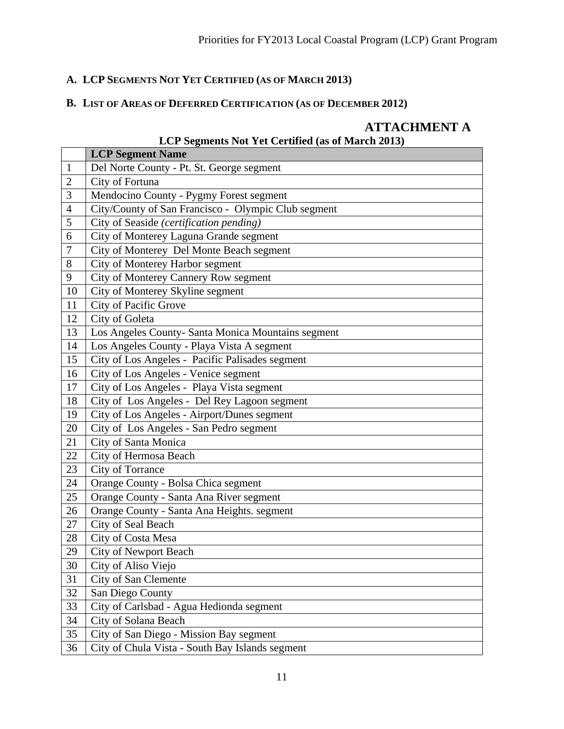# **A. LCP SEGMENTS NOT YET CERTIFIED (AS OF MARCH 2013)**

# **B. LIST OF AREAS OF DEFERRED CERTIFICATION (AS OF DECEMBER 2012)**

# **ATTACHMENT A**

# **LCP Segments Not Yet Certified (as of March 2013)**

|                | <b>LCP Segment Name</b>                             |
|----------------|-----------------------------------------------------|
| $\mathbf{1}$   | Del Norte County - Pt. St. George segment           |
| $\overline{c}$ | City of Fortuna                                     |
| 3              | Mendocino County - Pygmy Forest segment             |
| $\overline{4}$ | City/County of San Francisco - Olympic Club segment |
| 5              | City of Seaside (certification pending)             |
| 6              | City of Monterey Laguna Grande segment              |
| $\overline{7}$ | City of Monterey Del Monte Beach segment            |
| 8              | City of Monterey Harbor segment                     |
| 9              | City of Monterey Cannery Row segment                |
| 10             | City of Monterey Skyline segment                    |
| 11             | City of Pacific Grove                               |
| 12             | City of Goleta                                      |
| 13             | Los Angeles County- Santa Monica Mountains segment  |
| 14             | Los Angeles County - Playa Vista A segment          |
| 15             | City of Los Angeles - Pacific Palisades segment     |
| 16             | City of Los Angeles - Venice segment                |
| 17             | City of Los Angeles - Playa Vista segment           |
| 18             | City of Los Angeles - Del Rey Lagoon segment        |
| 19             | City of Los Angeles - Airport/Dunes segment         |
| 20             | City of Los Angeles - San Pedro segment             |
| 21             | City of Santa Monica                                |
| 22             | City of Hermosa Beach                               |
| 23             | City of Torrance                                    |
| 24             | Orange County - Bolsa Chica segment                 |
| 25             | Orange County - Santa Ana River segment             |
| 26             | Orange County - Santa Ana Heights. segment          |
| 27             | City of Seal Beach                                  |
| 28             | City of Costa Mesa                                  |
| 29             | <b>City of Newport Beach</b>                        |
| 30             | City of Aliso Viejo                                 |
| 31             | City of San Clemente                                |
| 32             | San Diego County                                    |
| 33             | City of Carlsbad - Agua Hedionda segment            |
| 34             | City of Solana Beach                                |
| 35             | City of San Diego - Mission Bay segment             |
| 36             | City of Chula Vista - South Bay Islands segment     |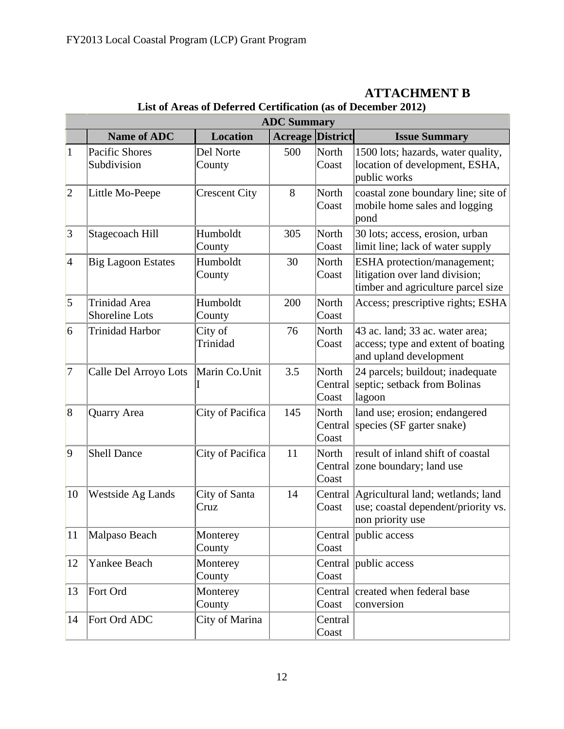|                 | <b>ADC Summary</b>                            |                       |                         |                           |                                                                                                     |  |
|-----------------|-----------------------------------------------|-----------------------|-------------------------|---------------------------|-----------------------------------------------------------------------------------------------------|--|
|                 | <b>Name of ADC</b>                            | <b>Location</b>       | <b>Acreage District</b> |                           | <b>Issue Summary</b>                                                                                |  |
| $\mathbf{1}$    | Pacific Shores<br>Subdivision                 | Del Norte<br>County   | 500                     | North<br>Coast            | 1500 lots; hazards, water quality,<br>location of development, ESHA,<br>public works                |  |
| 2               | Little Mo-Peepe                               | <b>Crescent City</b>  | 8                       | North<br>Coast            | coastal zone boundary line; site of<br>mobile home sales and logging<br>pond                        |  |
| 3               | Stagecoach Hill                               | Humboldt<br>County    | 305                     | <b>North</b><br>Coast     | 30 lots; access, erosion, urban<br>limit line; lack of water supply                                 |  |
| $\vert 4 \vert$ | <b>Big Lagoon Estates</b>                     | Humboldt<br>County    | 30                      | North<br>Coast            | ESHA protection/management;<br>litigation over land division;<br>timber and agriculture parcel size |  |
| $\vert 5 \vert$ | <b>Trinidad Area</b><br><b>Shoreline Lots</b> | Humboldt<br>County    | 200                     | North<br>Coast            | Access; prescriptive rights; ESHA                                                                   |  |
| $\overline{6}$  | <b>Trinidad Harbor</b>                        | City of<br>Trinidad   | 76                      | <b>North</b><br>Coast     | 43 ac. land; 33 ac. water area;<br>access; type and extent of boating<br>and upland development     |  |
| 7               | Calle Del Arroyo Lots                         | Marin Co.Unit         | 3.5                     | North<br>Central<br>Coast | 24 parcels; buildout; inadequate<br>septic; setback from Bolinas<br>lagoon                          |  |
| 8               | Quarry Area                                   | City of Pacifica      | 145                     | North<br>Central<br>Coast | land use; erosion; endangered<br>species (SF garter snake)                                          |  |
| $ 9\rangle$     | <b>Shell Dance</b>                            | City of Pacifica      | 11                      | North<br>Central<br>Coast | result of inland shift of coastal<br>zone boundary; land use                                        |  |
| 10              | <b>Westside Ag Lands</b>                      | City of Santa<br>Cruz | 14                      | Central<br>Coast          | Agricultural land; wetlands; land<br>use; coastal dependent/priority vs.<br>non priority use        |  |
| 11              | Malpaso Beach                                 | Monterey<br>County    |                         | Coast                     | Central public access                                                                               |  |
| 12              | Yankee Beach                                  | Monterey<br>County    |                         | Central<br>Coast          | public access                                                                                       |  |
| 13              | Fort Ord                                      | Monterey<br>County    |                         | Central<br>Coast          | created when federal base<br>conversion                                                             |  |
| 14              | Fort Ord ADC                                  | City of Marina        |                         | Central<br>Coast          |                                                                                                     |  |

### **ATTACHMENT B List of Areas of Deferred Certification (as of December 2012)**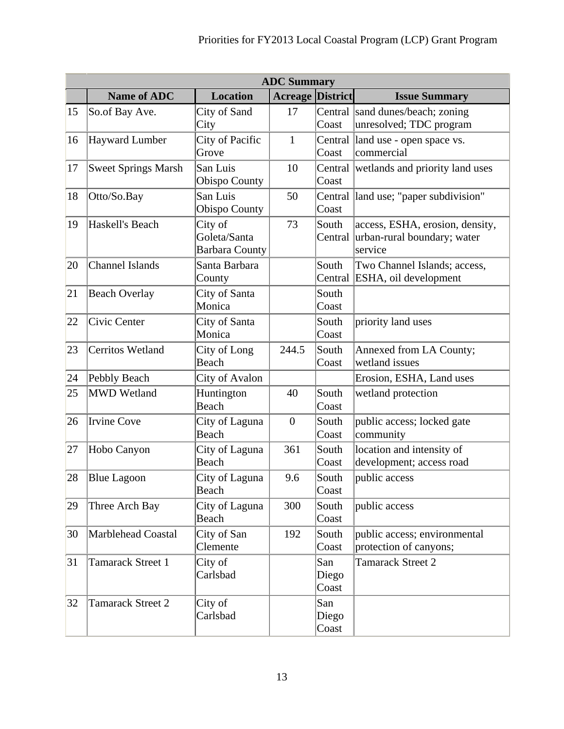|    | <b>ADC Summary</b>         |                                                  |                         |                       |                                                                           |  |
|----|----------------------------|--------------------------------------------------|-------------------------|-----------------------|---------------------------------------------------------------------------|--|
|    | <b>Name of ADC</b>         | <b>Location</b>                                  | <b>Acreage District</b> |                       | <b>Issue Summary</b>                                                      |  |
| 15 | So.of Bay Ave.             | City of Sand<br>City                             | 17                      | Coast                 | Central sand dunes/beach; zoning<br>unresolved; TDC program               |  |
| 16 | <b>Hayward Lumber</b>      | City of Pacific<br>Grove                         | $\mathbf{1}$            | Central<br>Coast      | land use - open space vs.<br>commercial                                   |  |
| 17 | <b>Sweet Springs Marsh</b> | San Luis<br><b>Obispo County</b>                 | 10                      | Central<br>Coast      | wetlands and priority land uses                                           |  |
| 18 | Otto/So.Bay                | San Luis<br><b>Obispo County</b>                 | 50                      | Central<br>Coast      | land use; "paper subdivision"                                             |  |
| 19 | Haskell's Beach            | City of<br>Goleta/Santa<br><b>Barbara County</b> | 73                      | South<br>Central      | access, ESHA, erosion, density,<br>urban-rural boundary; water<br>service |  |
| 20 | <b>Channel Islands</b>     | Santa Barbara<br>County                          |                         | South<br>Central      | Two Channel Islands; access,<br>ESHA, oil development                     |  |
| 21 | <b>Beach Overlay</b>       | City of Santa<br>Monica                          |                         | South<br>Coast        |                                                                           |  |
| 22 | Civic Center               | City of Santa<br>Monica                          |                         | South<br>Coast        | priority land uses                                                        |  |
| 23 | <b>Cerritos Wetland</b>    | City of Long<br>Beach                            | 244.5                   | South<br>Coast        | Annexed from LA County;<br>wetland issues                                 |  |
| 24 | Pebbly Beach               | City of Avalon                                   |                         |                       | Erosion, ESHA, Land uses                                                  |  |
| 25 | <b>MWD Wetland</b>         | Huntington<br>Beach                              | 40                      | South<br>Coast        | wetland protection                                                        |  |
| 26 | <b>Irvine Cove</b>         | City of Laguna<br>Beach                          | $\boldsymbol{0}$        | South<br>Coast        | public access; locked gate<br>community                                   |  |
| 27 | Hobo Canyon                | City of Laguna<br>Beach                          | 361                     | South<br>Coast        | location and intensity of<br>development; access road                     |  |
| 28 | <b>Blue Lagoon</b>         | City of Laguna<br>Beach                          | 9.6                     | South<br>Coast        | public access                                                             |  |
| 29 | Three Arch Bay             | City of Laguna<br>Beach                          | 300                     | South<br>Coast        | public access                                                             |  |
| 30 | <b>Marblehead Coastal</b>  | City of San<br>Clemente                          | 192                     | South<br>Coast        | public access; environmental<br>protection of canyons;                    |  |
| 31 | <b>Tamarack Street 1</b>   | City of<br>Carlsbad                              |                         | San<br>Diego<br>Coast | <b>Tamarack Street 2</b>                                                  |  |
| 32 | <b>Tamarack Street 2</b>   | City of<br>Carlsbad                              |                         | San<br>Diego<br>Coast |                                                                           |  |